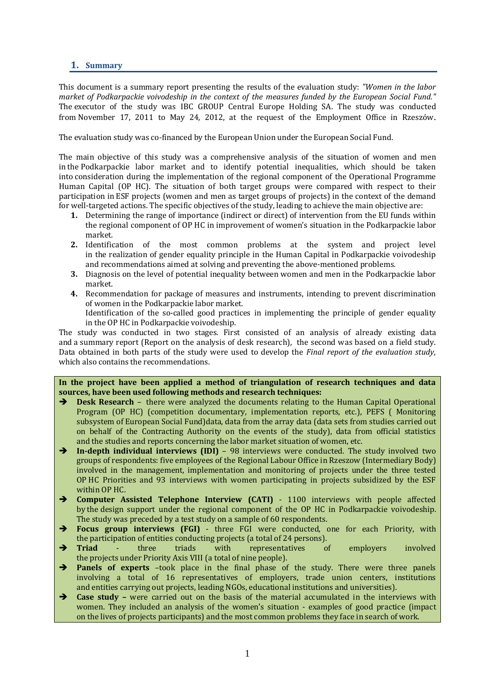## **1. Summary**

This document is a summary report presenting the results of the evaluation study: *"Women in the labor market of Podkarpackie voivodeship in the context of the measures funded by the European Social Fund."* The executor of the study was IBC GROUP Central Europe Holding SA. The study was conducted from November 17, 2011 to May 24, 2012, at the request of the Employment Office in Rzeszów.

The evaluation study was co-financed by the European Union under the European Social Fund.

The main objective of this study was a comprehensive analysis of the situation of women and men in the Podkarpackie labor market and to identify potential inequalities, which should be taken into consideration during the implementation of the regional component of the Operational Programme Human Capital (OP HC). The situation of both target groups were compared with respect to their participation in ESF projects (women and men as target groups of projects) in the context of the demand for well-targeted actions. The specific objectives of the study, leading to achieve the main objective are:

- **1.** Determining the range of importance (indirect or direct) of intervention from the EU funds within the regional component of OP HC in improvement of women's situation in the Podkarpackie labor market.
- **2.** Identification of the most common problems at the system and project level in the realization of gender equality principle in the Human Capital in Podkarpackie voivodeship and recommendations aimed at solving and preventing the above-mentioned problems.
- **3.** Diagnosis on the level of potential inequality between women and men in the Podkarpackie labor market.
- **4.** Recommendation for package of measures and instruments, intending to prevent discrimination of women in the Podkarpackie labor market.

Identification of the so-called good practices in implementing the principle of gender equality in the OP HC in Podkarpackie voivodeship.

The study was conducted in two stages. First consisted of an analysis of already existing data and a summary report (Report on the analysis of desk research), the second was based on a field study. Data obtained in both parts of the study were used to develop the *Final report of the evaluation study*, which also contains the recommendations.

**In the project have been applied a method of triangulation of research techniques and data sources, have been used following methods and research techniques:**

- $\rightarrow$  Desk Research there were analyzed the documents relating to the Human Capital Operational Program (OP HC) (competition documentary, implementation reports, etc.), PEFS ( Monitoring subsystem of European Social Fund)data, data from the array data (data sets from studies carried out on behalf of the Contracting Authority on the events of the study), data from official statistics and the studies and reports concerning the labor market situation of women, etc.
- **In-depth individual interviews (IDI)** 98 interviews were conducted. The study involved two groups of respondents: five employees of the Regional Labour Office in Rzeszow (Intermediary Body) involved in the management, implementation and monitoring of projects under the three tested OP HC Priorities and 93 interviews with women participating in projects subsidized by the ESF within OP HC.
- **Computer Assisted Telephone Interview (CATI)** 1100 interviews with people affected by the design support under the regional component of the OP HC in Podkarpackie voivodeship. The study was preceded by a test study on a sample of 60 respondents.
- **Focus group interviews (FGI)** three FGI were conducted, one for each Priority, with the participation of entities conducting projects (a total of 24 persons).
- **Triad** three triads with representatives of employers involved the projects under Priority Axis VIII (a total of nine people).
- **Panels of experts** –took place in the final phase of the study. There were three panels involving a total of 16 representatives of employers, trade union centers, institutions and entities carrying out projects, leading NGOs, educational institutions and universities).
- **Case study –** were carried out on the basis of the material accumulated in the interviews with women. They included an analysis of the women's situation - examples of good practice (impact on the lives of projects participants) and the most common problems they face in search of work.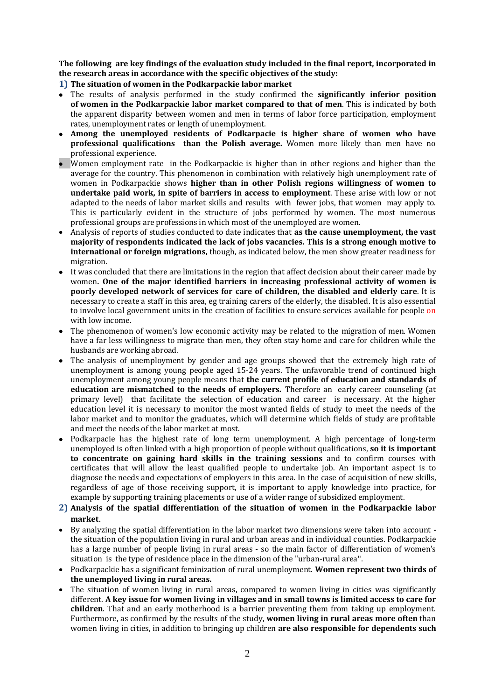**The following are key findings of the evaluation study included in the final report, incorporated in the research areas in accordance with the specific objectives of the study:**

**1) The situation of women in the Podkarpackie labor market**

- The results of analysis performed in the study confirmed the **significantly inferior position of women in the Podkarpackie labor market compared to that of men**. This is indicated by both the apparent disparity between women and men in terms of labor force participation, employment rates, unemployment rates or length of unemployment.
- **Among the unemployed residents of Podkarpacie is higher share of women who have professional qualifications than the Polish average.** Women more likely than men have no professional experience.
- Women employment rate in the Podkarpackie is higher than in other regions and higher than the average for the country. This phenomenon in combination with relatively high unemployment rate of women in Podkarpackie shows **higher than in other Polish regions willingness of women to undertake paid work, in spite of barriers in access to employment**. These arise with low or not adapted to the needs of labor market skills and results with fewer jobs, that women may apply to. This is particularly evident in the structure of jobs performed by women. The most numerous professional groups are professions in which most of the unemployed are women.
- Analysis of reports of studies conducted to date indicates that **as the cause unemployment, the vast majority of respondents indicated the lack of jobs vacancies. This is a strong enough motive to international or foreign migrations,** though, as indicated below, the men show greater readiness for migration.
- It was concluded that there are limitations in the region that affect decision about their career made by women**. One of the major identified barriers in increasing professional activity of women is poorly developed network of services for care of children, the disabled and elderly care**. It is necessary to create a staff in this area, eg training carers of the elderly, the disabled. It is also essential to involve local government units in the creation of facilities to ensure services available for people on with low income.
- The phenomenon of women's low economic activity may be related to the migration of men. Women have a far less willingness to migrate than men, they often stay home and care for children while the husbands are working abroad.
- The analysis of unemployment by gender and age groups showed that the extremely high rate of unemployment is among young people aged 15-24 years. The unfavorable trend of continued high unemployment among young people means that **the current profile of education and standards of education are mismatched to the needs of employers.** Therefore an early career counseling (at primary level) that facilitate the selection of education and career is necessary. At the higher education level it is necessary to monitor the most wanted fields of study to meet the needs of the labor market and to monitor the graduates, which will determine which fields of study are profitable and meet the needs of the labor market at most.
- Podkarpacie has the highest rate of long term unemployment. A high percentage of long-term unemployed is often linked with a high proportion of people without qualifications, **so it is important to concentrate on gaining hard skills in the training sessions** and to confirm courses with certificates that will allow the least qualified people to undertake job. An important aspect is to diagnose the needs and expectations of employers in this area. In the case of acquisition of new skills, regardless of age of those receiving support, it is important to apply knowledge into practice, for example by supporting training placements or use of a wider range of subsidized employment.
- **2) Analysis of the spatial differentiation of the situation of women in the Podkarpackie labor market**.
- By analyzing the spatial differentiation in the labor market two dimensions were taken into account the situation of the population living in rural and urban areas and in individual counties. Podkarpackie has a large number of people living in rural areas - so the main factor of differentiation of women's situation is the type of residence place in the dimension of the "urban-rural area".
- Podkarpackie has a significant feminization of rural unemployment. **Women represent two thirds of the unemployed living in rural areas.**
- The situation of women living in rural areas, compared to women living in cities was significantly different. **A key issue for women living in villages and in small towns is limited access to care for children**. That and an early motherhood is a barrier preventing them from taking up employment. Furthermore, as confirmed by the results of the study, **women living in rural areas more often** than women living in cities, in addition to bringing up children **are also responsible for dependents such**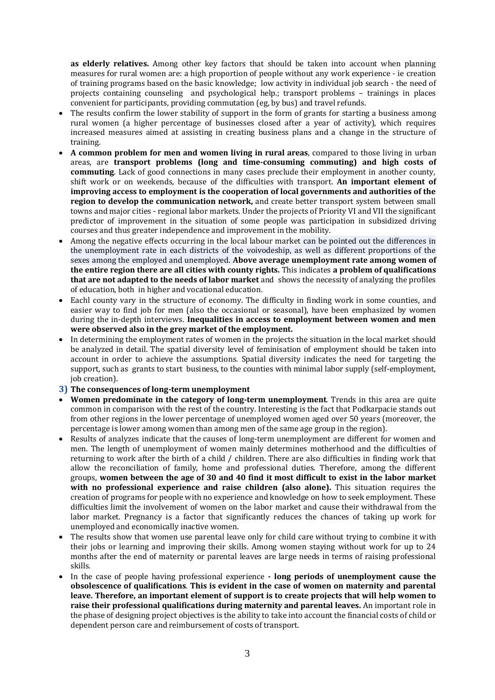**as elderly relatives.** Among other key factors that should be taken into account when planning measures for rural women are: a high proportion of people without any work experience - ie creation of training programs based on the basic knowledge; low activity in individual job search - the need of projects containing counseling and psychological help.; transport problems – trainings in places convenient for participants, providing commutation (eg, by bus) and travel refunds.

- The results confirm the lower stability of support in the form of grants for starting a business among rural women (a higher percentage of businesses closed after a year of activity), which requires increased measures aimed at assisting in creating business plans and a change in the structure of training.
- **A common problem for men and women living in rural areas**, compared to those living in urban areas, are **transport problems (long and time-consuming commuting) and high costs of commuting**. Lack of good connections in many cases preclude their employment in another county, shift work or on weekends, because of the difficulties with transport. **An important element of improving access to employment is the cooperation of local governments and authorities of the region to develop the communication network,** and create better transport system between small towns and major cities - regional labor markets. Under the projects of Priority VI and VII the significant predictor of improvement in the situation of some people was participation in subsidized driving courses and thus greater independence and improvement in the mobility.
- Among the negative effects occurring in the local labour market can be pointed out the differences in the unemployment rate in each districts of the voivodeship, as well as different proportions of the sexes among the employed and unemployed. **Above average unemployment rate among women of the entire region there are all cities with county rights.** This indicates **a problem of qualifications that are not adapted to the needs of labor market** and shows the necessity of analyzing the profiles of education, both in higher and vocational education.
- Eachl county vary in the structure of economy. The difficulty in finding work in some counties, and easier way to find job for men (also the occasional or seasonal), have been emphasized by women during the in-depth interviews. **Inequalities in access to employment between women and men were observed also in the grey market of the employment.**
- In determining the employment rates of women in the projects the situation in the local market should be analyzed in detail. The spatial diversity level of feminisation of employment should be taken into account in order to achieve the assumptions. Spatial diversity indicates the need for targeting the support, such as grants to start business, to the counties with minimal labor supply (self-employment, job creation).
- **3) The consequences of long-term unemployment**
- **Women predominate in the category of long-term unemployment**. Trends in this area are quite common in comparison with the rest of the country. Interesting is the fact that Podkarpacie stands out from other regions in the lower percentage of unemployed women aged over 50 years (moreover, the percentage is lower among women than among men of the same age group in the region).
- Results of analyzes indicate that the causes of long-term unemployment are different for women and men. The length of unemployment of women mainly determines motherhood and the difficulties of returning to work after the birth of a child / children. There are also difficulties in finding work that allow the reconciliation of family, home and professional duties. Therefore, among the different groups, **women between the age of 30 and 40 find it most difficult to exist in the labor market with no professional experience and raise children (also alone).** This situation requires the creation of programs for people with no experience and knowledge on how to seek employment. These difficulties limit the involvement of women on the labor market and cause their withdrawal from the labor market. Pregnancy is a factor that significantly reduces the chances of taking up work for unemployed and economically inactive women.
- The results show that women use parental leave only for child care without trying to combine it with their jobs or learning and improving their skills. Among women staying without work for up to 24 months after the end of maternity or parental leaves are large needs in terms of raising professional skills.
- In the case of people having professional experience **- long periods of unemployment cause the obsolescence of qualifications**. **This is evident in the case of women on maternity and parental leave. Therefore, an important element of support is to create projects that will help women to raise their professional qualifications during maternity and parental leaves.** An important role in the phase of designing project objectives is the ability to take into account the financial costs of child or dependent person care and reimbursement of costs of transport.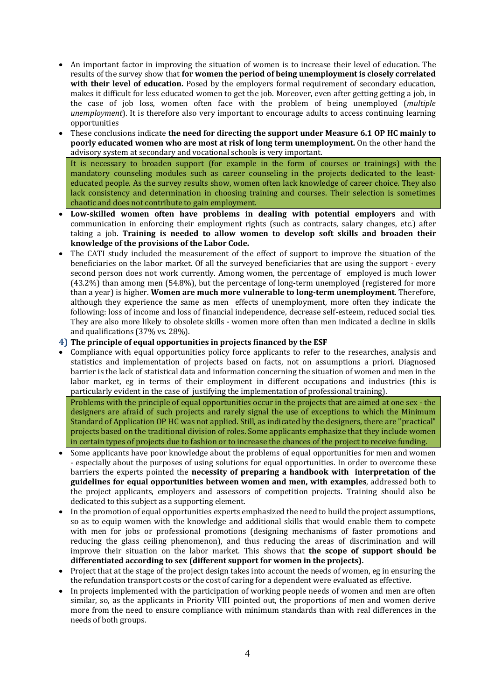- An important factor in improving the situation of women is to increase their level of education. The results of the survey show that **for women the period of being unemployment is closely correlated with their level of education.** Posed by the employers formal requirement of secondary education, makes it difficult for less educated women to get the job. Moreover, even after getting getting a job, in the case of job loss, women often face with the problem of being unemployed (*multiple unemployment*). It is therefore also very important to encourage adults to access continuing learning opportunities
- These conclusions indicate **the need for directing the support under Measure 6.1 OP HC mainly to poorly educated women who are most at risk of long term unemployment.** On the other hand the advisory system at secondary and vocational schools is very important.

It is necessary to broaden support (for example in the form of courses or trainings) with the mandatory counseling modules such as career counseling in the projects dedicated to the leasteducated people. As the survey results show, women often lack knowledge of career choice. They also lack consistency and determination in choosing training and courses. Their selection is sometimes chaotic and does not contribute to gain employment.

- **Low-skilled women often have problems in dealing with potential employers** and with communication in enforcing their employment rights (such as contracts, salary changes, etc.) after taking a job. **Training is needed to allow women to develop soft skills and broaden their knowledge of the provisions of the Labor Code.**
- The CATI study included the measurement of the effect of support to improve the situation of the beneficiaries on the labor market. Of all the surveyed beneficiaries that are using the support - every second person does not work currently. Among women, the percentage of employed is much lower (43.2%) than among men (54.8%), but the percentage of long-term unemployed (registered for more than a year) is higher. **Women are much more vulnerable to long-term unemployment**. Therefore, although they experience the same as men effects of unemployment, more often they indicate the following: loss of income and loss of financial independence, decrease self-esteem, reduced social ties. They are also more likely to obsolete skills - women more often than men indicated a decline in skills and qualifications (37% vs. 28%).

## **4) The principle of equal opportunities in projects financed by the ESF**

 Compliance with equal opportunities policy force applicants to refer to the researches, analysis and statistics and implementation of projects based on facts, not on assumptions a priori. Diagnosed barrier is the lack of statistical data and information concerning the situation of women and men in the labor market, eg in terms of their employment in different occupations and industries (this is particularly evident in the case of justifying the implementation of professional training).

Problems with the principle of equal opportunities occur in the projects that are aimed at one sex - the designers are afraid of such projects and rarely signal the use of exceptions to which the Minimum Standard of Application OP HC was not applied. Still, as indicated by the designers, there are "practical" projects based on the traditional division of roles. Some applicants emphasize that they include women in certain types of projects due to fashion or to increase the chances of the project to receive funding.

- Some applicants have poor knowledge about the problems of equal opportunities for men and women - especially about the purposes of using solutions for equal opportunities. In order to overcome these barriers the experts pointed the **necessity of preparing a handbook with interpretation of the guidelines for equal opportunities between women and men, with examples**, addressed both to the project applicants, employers and assessors of competition projects. Training should also be dedicated to this subject as a supporting element.
- In the promotion of equal opportunities experts emphasized the need to build the project assumptions, so as to equip women with the knowledge and additional skills that would enable them to compete with men for jobs or professional promotions (designing mechanisms of faster promotions and reducing the glass ceiling phenomenon), and thus reducing the areas of discrimination and will improve their situation on the labor market. This shows that **the scope of support should be differentiated according to sex (different support for women in the projects).**
- Project that at the stage of the project design takes into account the needs of women, eg in ensuring the the refundation transport costs or the cost of caring for a dependent were evaluated as effective.
- In projects implemented with the participation of working people needs of women and men are often similar, so, as the applicants in Priority VIII pointed out, the proportions of men and women derive more from the need to ensure compliance with minimum standards than with real differences in the needs of both groups.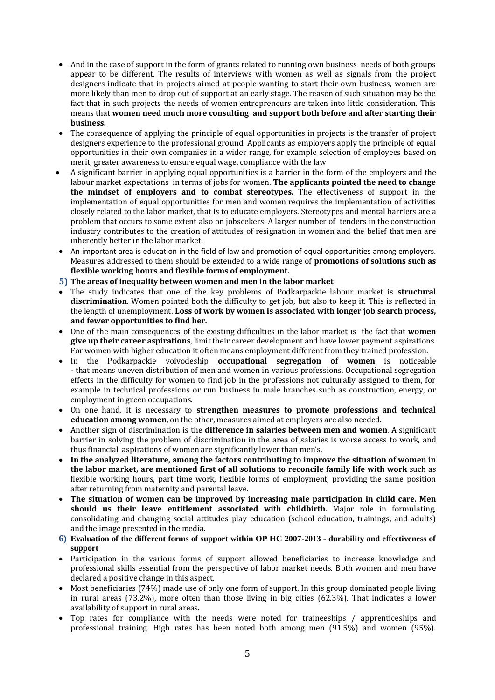- And in the case of support in the form of grants related to running own business needs of both groups appear to be different. The results of interviews with women as well as signals from the project designers indicate that in projects aimed at people wanting to start their own business, women are more likely than men to drop out of support at an early stage. The reason of such situation may be the fact that in such projects the needs of women entrepreneurs are taken into little consideration. This means that **women need much more consulting and support both before and after starting their business.**
- The consequence of applying the principle of equal opportunities in projects is the transfer of project designers experience to the professional ground. Applicants as employers apply the principle of equal opportunities in their own companies in a wider range, for example selection of employees based on merit, greater awareness to ensure equal wage, compliance with the law
- A significant barrier in applying equal opportunities is a barrier in the form of the employers and the labour market expectations in terms of jobs for women. **The applicants pointed the need to change the mindset of employers and to combat stereotypes.** The effectiveness of support in the implementation of equal opportunities for men and women requires the implementation of activities closely related to the labor market, that is to educate employers. Stereotypes and mental barriers are a problem that occurs to some extent also on jobseekers. A larger number of tenders in the construction industry contributes to the creation of attitudes of resignation in women and the belief that men are inherently better in the labor market.
- An important area is education in the field of law and promotion of equal opportunities among employers. Measures addressed to them should be extended to a wide range of **promotions of solutions such as flexible working hours and flexible forms of employment.**

**5) The areas of inequality between women and men in the labor market**

- The study indicates that one of the key problems of Podkarpackie labour market is **structural discrimination**. Women pointed both the difficulty to get job, but also to keep it. This is reflected in the length of unemployment. **Loss of work by women is associated with longer job search process, and fewer opportunities to find her.**
- One of the main consequences of the existing difficulties in the labor market is the fact that **women give up their career aspirations**, limit their career development and have lower payment aspirations. For women with higher education it often means employment different from they trained profession.
- In the Podkarpackie voivodeship **occupational segregation of women** is noticeable - that means uneven distribution of men and women in various professions. Occupational segregation effects in the difficulty for women to find job in the professions not culturally assigned to them, for example in technical professions or run business in male branches such as construction, energy, or employment in green occupations.
- On one hand, it is necessary to **strengthen measures to promote professions and technical education among women**, on the other, measures aimed at employers are also needed.
- Another sign of discrimination is the **difference in salaries between men and women**. A significant barrier in solving the problem of discrimination in the area of salaries is worse access to work, and thus financial aspirations of women are significantly lower than men's.
- **In the analyzed literature, among the factors contributing to improve the situation of women in the labor market, are mentioned first of all solutions to reconcile family life with work** such as flexible working hours, part time work, flexible forms of employment, providing the same position after returning from maternity and parental leave.
- **The situation of women can be improved by increasing male participation in child care. Men should us their leave entitlement associated with childbirth.** Major role in formulating, consolidating and changing social attitudes play education (school education, trainings, and adults) and the image presented in the media.
- **6) Evaluation of the different forms of support within OP HC 2007-2013 - durability and effectiveness of support**
- Participation in the various forms of support allowed beneficiaries to increase knowledge and professional skills essential from the perspective of labor market needs. Both women and men have declared a positive change in this aspect.
- Most beneficiaries (74%) made use of only one form of support. In this group dominated people living in rural areas (73.2%), more often than those living in big cities (62.3%). That indicates a lower availability of support in rural areas.
- Top rates for compliance with the needs were noted for traineeships / apprenticeships and professional training. High rates has been noted both among men (91.5%) and women (95%).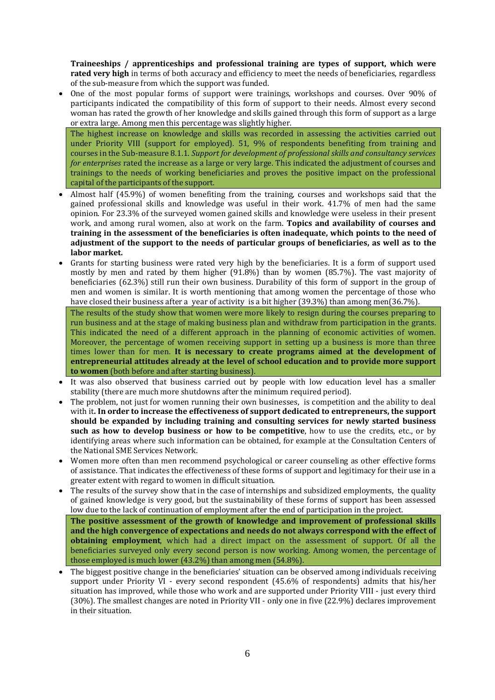**Traineeships / apprenticeships and professional training are types of support, which were rated very high** in terms of both accuracy and efficiency to meet the needs of beneficiaries, regardless of the sub-measure from which the support was funded.

 One of the most popular forms of support were trainings, workshops and courses. Over 90% of participants indicated the compatibility of this form of support to their needs. Almost every second woman has rated the growth of her knowledge and skills gained through this form of support as a large or extra large. Among men this percentage was slightly higher.

The highest increase on knowledge and skills was recorded in assessing the activities carried out under Priority VIII (support for employed). 51, 9% of respondents benefiting from training and courses in the Sub-measure 8.1.1. *Support for development of professional skills and consultancy services for enterprises* rated the increase as a large or very large. This indicated the adjustment of courses and trainings to the needs of working beneficiaries and proves the positive impact on the professional capital of the participants of the support.

- Almost half (45.9%) of women benefiting from the training, courses and workshops said that the gained professional skills and knowledge was useful in their work. 41.7% of men had the same opinion. For 23.3% of the surveyed women gained skills and knowledge were useless in their present work, and among rural women, also at work on the farm. **Topics and availability of courses and training in the assessment of the beneficiaries is often inadequate, which points to the need of adjustment of the support to the needs of particular groups of beneficiaries, as well as to the labor market.**
- Grants for starting business were rated very high by the beneficiaries. It is a form of support used mostly by men and rated by them higher (91.8%) than by women (85.7%). The vast majority of beneficiaries (62.3%) still run their own business. Durability of this form of support in the group of men and women is similar. It is worth mentioning that among women the percentage of those who have closed their business after a year of activity is a bit higher (39.3%) than among men(36.7%).

The results of the study show that women were more likely to resign during the courses preparing to run business and at the stage of making business plan and withdraw from participation in the grants. This indicated the need of a different approach in the planning of economic activities of women. Moreover, the percentage of women receiving support in setting up a business is more than three times lower than for men. **It is necessary to create programs aimed at the development of entrepreneurial attitudes already at the level of school education and to provide more support to women** (both before and after starting business).

- It was also observed that business carried out by people with low education level has a smaller stability (there are much more shutdowns after the minimum required period).
- The problem, not just for women running their own businesses, is competition and the ability to deal with it**. In order to increase the effectiveness of support dedicated to entrepreneurs, the support should be expanded by including training and consulting services for newly started business such as how to develop business or how to be competitive**, how to use the credits, etc., or by identifying areas where such information can be obtained, for example at the Consultation Centers of the National SME Services Network.
- Women more often than men recommend psychological or career counseling as other effective forms of assistance. That indicates the effectiveness of these forms of support and legitimacy for their use in a greater extent with regard to women in difficult situation.
- The results of the survey show that in the case of internships and subsidized employments, the quality of gained knowledge is very good, but the sustainability of these forms of support has been assessed low due to the lack of continuation of employment after the end of participation in the project.

**The positive assessment of the growth of knowledge and improvement of professional skills and the high convergence of expectations and needs do not always correspond with the effect of obtaining employment**, which had a direct impact on the assessment of support. Of all the beneficiaries surveyed only every second person is now working. Among women, the percentage of those employed is much lower (43.2%) than among men (54.8%).

 The biggest positive change in the beneficiaries' situation can be observed among individuals receiving support under Priority VI - every second respondent (45.6% of respondents) admits that his/her situation has improved, while those who work and are supported under Priority VIII - just every third (30%). The smallest changes are noted in Priority VII - only one in five (22.9%) declares improvement in their situation.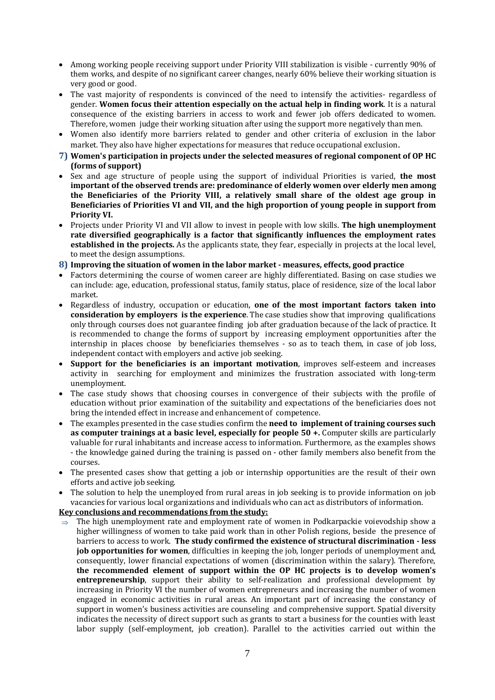- Among working people receiving support under Priority VIII stabilization is visible currently 90% of them works, and despite of no significant career changes, nearly 60% believe their working situation is very good or good.
- The vast majority of respondents is convinced of the need to intensify the activities- regardless of gender. **Women focus their attention especially on the actual help in finding work**. It is a natural consequence of the existing barriers in access to work and fewer job offers dedicated to women. Therefore, women judge their working situation after using the support more negatively than men.
- Women also identify more barriers related to gender and other criteria of exclusion in the labor market. They also have higher expectations for measures that reduce occupational exclusion.
- **7) Women's participation in projects under the selected measures of regional component of OP HC (forms of support)**
- Sex and age structure of people using the support of individual Priorities is varied, **the most important of the observed trends are: predominance of elderly women over elderly men among the Beneficiaries of the Priority VIII, a relatively small share of the oldest age group in Beneficiaries of Priorities VI and VII, and the high proportion of young people in support from Priority VI.**
- Projects under Priority VI and VII allow to invest in people with low skills. **The high unemployment rate diversified geographically is a factor that significantly influences the employment rates established in the projects.** As the applicants state, they fear, especially in projects at the local level, to meet the design assumptions.

**8) Improving the situation of women in the labor market - measures, effects, good practice**

- Factors determining the course of women career are highly differentiated. Basing on case studies we can include: age, education, professional status, family status, place of residence, size of the local labor market.
- Regardless of industry, occupation or education, **one of the most important factors taken into consideration by employers is the experience**. The case studies show that improving qualifications only through courses does not guarantee finding job after graduation because of the lack of practice. It is recommended to change the forms of support by increasing employment opportunities after the internship in places choose by beneficiaries themselves - so as to teach them, in case of job loss, independent contact with employers and active job seeking.
- **Support for the beneficiaries is an important motivation**, improves self-esteem and increases activity in searching for employment and minimizes the frustration associated with long-term unemployment.
- The case study shows that choosing courses in convergence of their subjects with the profile of education without prior examination of the suitability and expectations of the beneficiaries does not bring the intended effect in increase and enhancement of competence.
- The examples presented in the case studies confirm the **need to implement of training courses such as computer trainings at a basic level, especially for people 50 +.** Computer skills are particularly valuable for rural inhabitants and increase access to information. Furthermore, as the examples shows - the knowledge gained during the training is passed on - other family members also benefit from the courses.
- The presented cases show that getting a job or internship opportunities are the result of their own efforts and active job seeking.
- The solution to help the unemployed from rural areas in job seeking is to provide information on job vacancies for various local organizations and individuals who can act as distributors of information.

**Key conclusions and recommendations from the study:**

 $\Rightarrow$  The high unemployment rate and employment rate of women in Podkarpackie voievodship show a higher willingness of women to take paid work than in other Polish regions, beside the presence of barriers to access to work. **The study confirmed the existence of structural discrimination - less job opportunities for women**, difficulties in keeping the job, longer periods of unemployment and, consequently, lower financial expectations of women (discrimination within the salary). Therefore, **the recommended element of support within the OP HC projects is to develop women's entrepreneurship**, support their ability to self-realization and professional development by increasing in Priority VI the number of women entrepreneurs and increasing the number of women engaged in economic activities in rural areas. An important part of increasing the constancy of support in women's business activities are counseling and comprehensive support. Spatial diversity indicates the necessity of direct support such as grants to start a business for the counties with least labor supply (self-employment, job creation). Parallel to the activities carried out within the